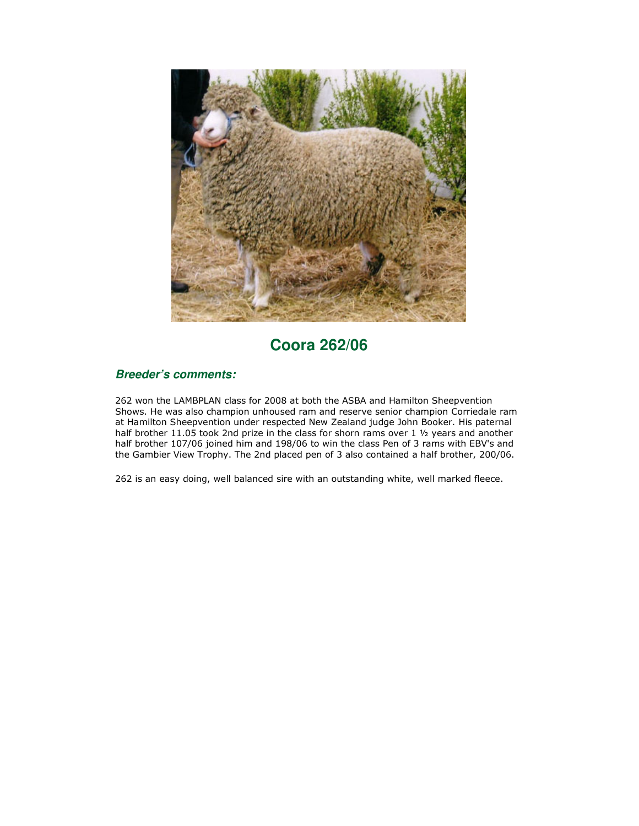

## **Coora 262/06**

## **Breeder's comments:**

262 won the LAMBPLAN class for 2008 at both the ASBA and Hamilton Sheepvention Shows. He was also champion unhoused ram and reserve senior champion Corriedale ram at Hamilton Sheepvention under respected New Zealand judge John Booker. His paternal half brother 11.05 took 2nd prize in the class for shorn rams over 1 1/2 years and another half brother 107/06 joined him and 198/06 to win the class Pen of 3 rams with EBV's and the Gambier View Trophy. The 2nd placed pen of 3 also contained a half brother, 200/06.

262 is an easy doing, well balanced sire with an outstanding white, well marked fleece.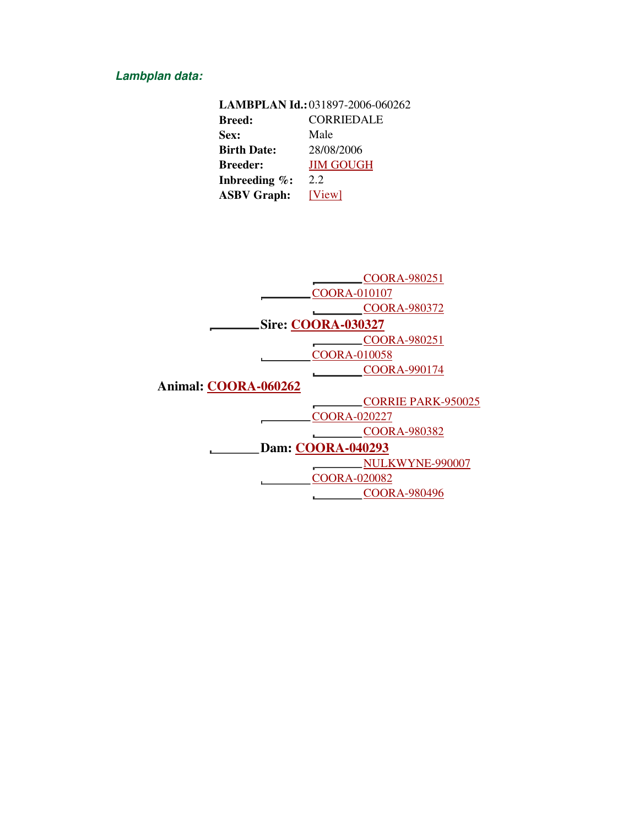## **Lambplan data:**

| LAMBPLAN Id.: 031897-2006-060262   |                  |  |  |  |  |  |
|------------------------------------|------------------|--|--|--|--|--|
| <b>CORRIEDALE</b><br><b>Breed:</b> |                  |  |  |  |  |  |
| Sex:                               | Male             |  |  |  |  |  |
| <b>Birth Date:</b>                 | 28/08/2006       |  |  |  |  |  |
| <b>Breeder:</b>                    | <b>JIM GOUGH</b> |  |  |  |  |  |
| Inbreeding $\%$ :                  | 2.2              |  |  |  |  |  |
| <b>ASBV Graph:</b>                 | [View]           |  |  |  |  |  |

|                          | COORA-980251              |  |  |  |  |  |  |
|--------------------------|---------------------------|--|--|--|--|--|--|
|                          | <b>COORA-010107</b>       |  |  |  |  |  |  |
|                          | COORA-980372              |  |  |  |  |  |  |
|                          | <b>Sire: COORA-030327</b> |  |  |  |  |  |  |
|                          | COORA-980251              |  |  |  |  |  |  |
|                          | <b>COORA-010058</b>       |  |  |  |  |  |  |
|                          | COORA-990174              |  |  |  |  |  |  |
| Animal: COORA-060262     |                           |  |  |  |  |  |  |
|                          | <b>CORRIE PARK-950025</b> |  |  |  |  |  |  |
|                          | <b>COORA-020227</b>       |  |  |  |  |  |  |
|                          | <b>COORA-980382</b>       |  |  |  |  |  |  |
| <b>Dam: COORA-040293</b> |                           |  |  |  |  |  |  |
|                          | NULKWYNE-990007           |  |  |  |  |  |  |
|                          | <b>COORA-020082</b>       |  |  |  |  |  |  |
|                          | <b>COORA-980496</b>       |  |  |  |  |  |  |
|                          |                           |  |  |  |  |  |  |